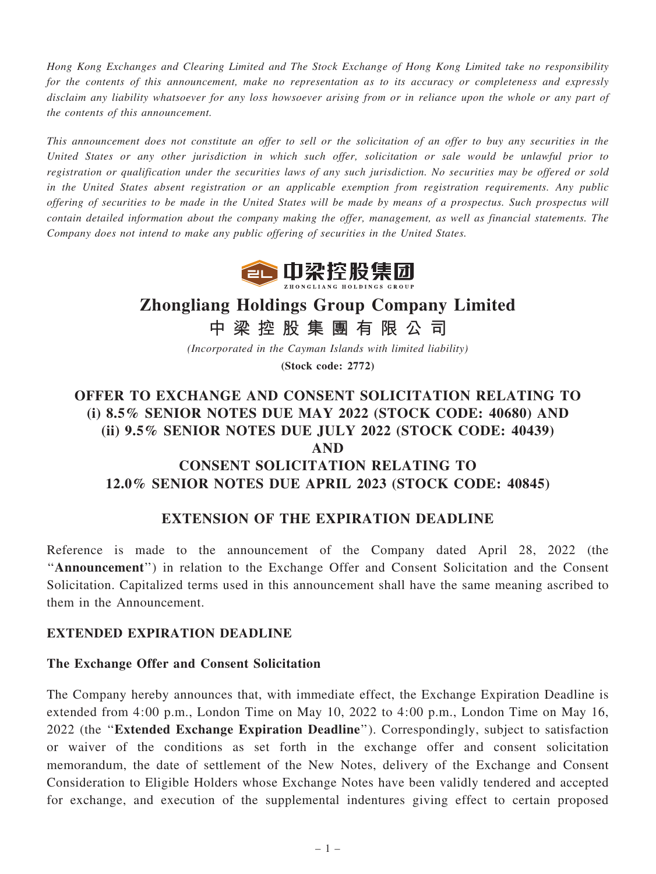Hong Kong Exchanges and Clearing Limited and The Stock Exchange of Hong Kong Limited take no responsibility for the contents of this announcement, make no representation as to its accuracy or completeness and expressly disclaim any liability whatsoever for any loss howsoever arising from or in reliance upon the whole or any part of the contents of this announcement.

This announcement does not constitute an offer to sell or the solicitation of an offer to buy any securities in the United States or any other jurisdiction in which such offer, solicitation or sale would be unlawful prior to registration or qualification under the securities laws of any such jurisdiction. No securities may be offered or sold in the United States absent registration or an applicable exemption from registration requirements. Any public offering of securities to be made in the United States will be made by means of a prospectus. Such prospectus will contain detailed information about the company making the offer, management, as well as financial statements. The Company does not intend to make any public offering of securities in the United States.



# Zhongliang Holdings Group Company Limited

中 梁 控 股 集 團 有 限 公 司

(Incorporated in the Cayman Islands with limited liability) (Stock code: 2772)

## OFFER TO EXCHANGE AND CONSENT SOLICITATION RELATING TO (i) 8.5% SENIOR NOTES DUE MAY 2022 (STOCK CODE: 40680) AND (ii) 9.5% SENIOR NOTES DUE JULY 2022 (STOCK CODE: 40439) AND CONSENT SOLICITATION RELATING TO 12.0% SENIOR NOTES DUE APRIL 2023 (STOCK CODE: 40845)

### EXTENSION OF THE EXPIRATION DEADLINE

Reference is made to the announcement of the Company dated April 28, 2022 (the ''Announcement'') in relation to the Exchange Offer and Consent Solicitation and the Consent Solicitation. Capitalized terms used in this announcement shall have the same meaning ascribed to them in the Announcement.

#### EXTENDED EXPIRATION DEADLINE

#### The Exchange Offer and Consent Solicitation

The Company hereby announces that, with immediate effect, the Exchange Expiration Deadline is extended from 4:00 p.m., London Time on May 10, 2022 to 4:00 p.m., London Time on May 16, 2022 (the "Extended Exchange Expiration Deadline"). Correspondingly, subject to satisfaction or waiver of the conditions as set forth in the exchange offer and consent solicitation memorandum, the date of settlement of the New Notes, delivery of the Exchange and Consent Consideration to Eligible Holders whose Exchange Notes have been validly tendered and accepted for exchange, and execution of the supplemental indentures giving effect to certain proposed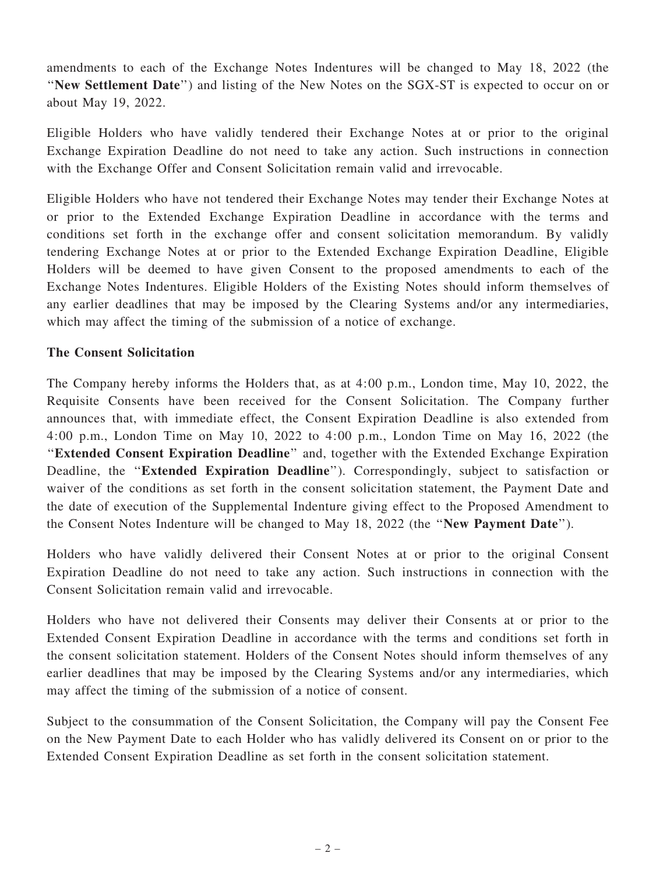amendments to each of the Exchange Notes Indentures will be changed to May 18, 2022 (the ''New Settlement Date'') and listing of the New Notes on the SGX-ST is expected to occur on or about May 19, 2022.

Eligible Holders who have validly tendered their Exchange Notes at or prior to the original Exchange Expiration Deadline do not need to take any action. Such instructions in connection with the Exchange Offer and Consent Solicitation remain valid and irrevocable.

Eligible Holders who have not tendered their Exchange Notes may tender their Exchange Notes at or prior to the Extended Exchange Expiration Deadline in accordance with the terms and conditions set forth in the exchange offer and consent solicitation memorandum. By validly tendering Exchange Notes at or prior to the Extended Exchange Expiration Deadline, Eligible Holders will be deemed to have given Consent to the proposed amendments to each of the Exchange Notes Indentures. Eligible Holders of the Existing Notes should inform themselves of any earlier deadlines that may be imposed by the Clearing Systems and/or any intermediaries, which may affect the timing of the submission of a notice of exchange.

#### The Consent Solicitation

The Company hereby informs the Holders that, as at 4:00 p.m., London time, May 10, 2022, the Requisite Consents have been received for the Consent Solicitation. The Company further announces that, with immediate effect, the Consent Expiration Deadline is also extended from 4:00 p.m., London Time on May 10, 2022 to 4:00 p.m., London Time on May 16, 2022 (the "Extended Consent Expiration Deadline" and, together with the Extended Exchange Expiration Deadline, the "Extended Expiration Deadline"). Correspondingly, subject to satisfaction or waiver of the conditions as set forth in the consent solicitation statement, the Payment Date and the date of execution of the Supplemental Indenture giving effect to the Proposed Amendment to the Consent Notes Indenture will be changed to May 18, 2022 (the ''New Payment Date'').

Holders who have validly delivered their Consent Notes at or prior to the original Consent Expiration Deadline do not need to take any action. Such instructions in connection with the Consent Solicitation remain valid and irrevocable.

Holders who have not delivered their Consents may deliver their Consents at or prior to the Extended Consent Expiration Deadline in accordance with the terms and conditions set forth in the consent solicitation statement. Holders of the Consent Notes should inform themselves of any earlier deadlines that may be imposed by the Clearing Systems and/or any intermediaries, which may affect the timing of the submission of a notice of consent.

Subject to the consummation of the Consent Solicitation, the Company will pay the Consent Fee on the New Payment Date to each Holder who has validly delivered its Consent on or prior to the Extended Consent Expiration Deadline as set forth in the consent solicitation statement.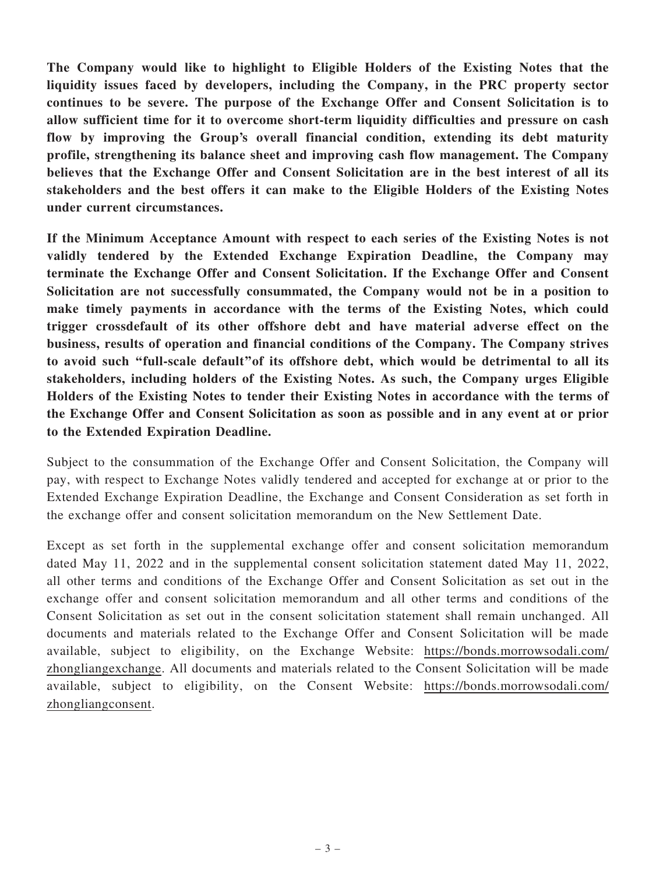The Company would like to highlight to Eligible Holders of the Existing Notes that the liquidity issues faced by developers, including the Company, in the PRC property sector continues to be severe. The purpose of the Exchange Offer and Consent Solicitation is to allow sufficient time for it to overcome short-term liquidity difficulties and pressure on cash flow by improving the Group's overall financial condition, extending its debt maturity profile, strengthening its balance sheet and improving cash flow management. The Company believes that the Exchange Offer and Consent Solicitation are in the best interest of all its stakeholders and the best offers it can make to the Eligible Holders of the Existing Notes under current circumstances.

If the Minimum Acceptance Amount with respect to each series of the Existing Notes is not validly tendered by the Extended Exchange Expiration Deadline, the Company may terminate the Exchange Offer and Consent Solicitation. If the Exchange Offer and Consent Solicitation are not successfully consummated, the Company would not be in a position to make timely payments in accordance with the terms of the Existing Notes, which could trigger crossdefault of its other offshore debt and have material adverse effect on the business, results of operation and financial conditions of the Company. The Company strives to avoid such ''full-scale default''of its offshore debt, which would be detrimental to all its stakeholders, including holders of the Existing Notes. As such, the Company urges Eligible Holders of the Existing Notes to tender their Existing Notes in accordance with the terms of the Exchange Offer and Consent Solicitation as soon as possible and in any event at or prior to the Extended Expiration Deadline.

Subject to the consummation of the Exchange Offer and Consent Solicitation, the Company will pay, with respect to Exchange Notes validly tendered and accepted for exchange at or prior to the Extended Exchange Expiration Deadline, the Exchange and Consent Consideration as set forth in the exchange offer and consent solicitation memorandum on the New Settlement Date.

Except as set forth in the supplemental exchange offer and consent solicitation memorandum dated May 11, 2022 and in the supplemental consent solicitation statement dated May 11, 2022, all other terms and conditions of the Exchange Offer and Consent Solicitation as set out in the exchange offer and consent solicitation memorandum and all other terms and conditions of the Consent Solicitation as set out in the consent solicitation statement shall remain unchanged. All documents and materials related to the Exchange Offer and Consent Solicitation will be made available, subject to eligibility, on the Exchange Website: [https://bonds.morrowsodali.com/](https://bonds.morrowsodali.com/zhongliangexchange) [zhongliangexchange.](https://bonds.morrowsodali.com/zhongliangexchange) All documents and materials related to the Consent Solicitation will be made available, subject to eligibility, on the Consent Website: [https://bonds.morrowsodali.com/](https://bonds.morrowsodali.com/zhongliangconsent) [zhongliangconsent.](https://bonds.morrowsodali.com/zhongliangconsent)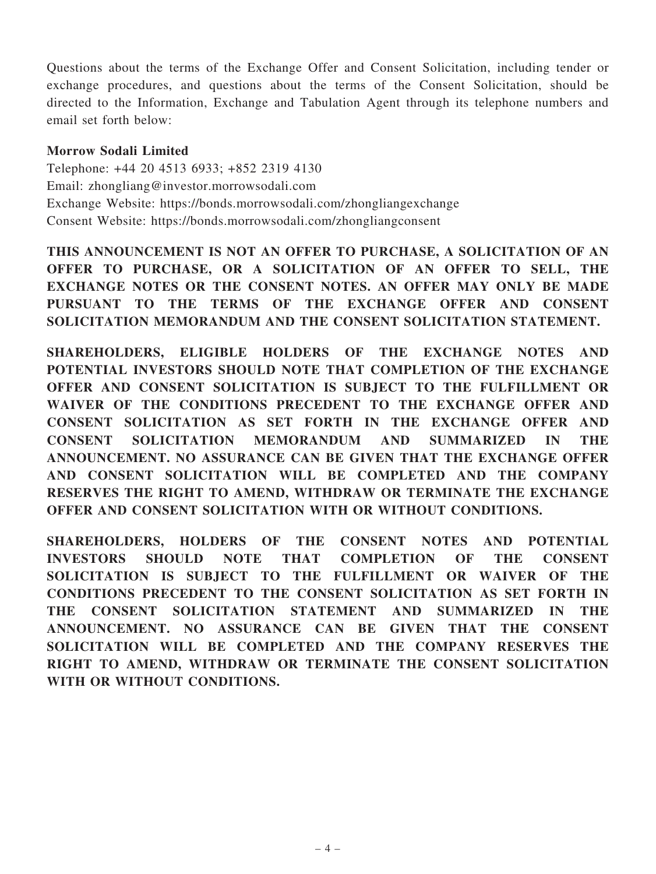Questions about the terms of the Exchange Offer and Consent Solicitation, including tender or exchange procedures, and questions about the terms of the Consent Solicitation, should be directed to the Information, Exchange and Tabulation Agent through its telephone numbers and email set forth below:

#### Morrow Sodali Limited

Telephone: +44 20 4513 6933; +852 2319 4130 Email: zhongliang@investor.morrowsodali.com Exchange Website: https://bonds.morrowsodali.com/zhongliangexchange Consent Website: https://bonds.morrowsodali.com/zhongliangconsent

THIS ANNOUNCEMENT IS NOT AN OFFER TO PURCHASE, A SOLICITATION OF AN OFFER TO PURCHASE, OR A SOLICITATION OF AN OFFER TO SELL, THE EXCHANGE NOTES OR THE CONSENT NOTES. AN OFFER MAY ONLY BE MADE PURSUANT TO THE TERMS OF THE EXCHANGE OFFER AND CONSENT SOLICITATION MEMORANDUM AND THE CONSENT SOLICITATION STATEMENT.

SHAREHOLDERS, ELIGIBLE HOLDERS OF THE EXCHANGE NOTES AND POTENTIAL INVESTORS SHOULD NOTE THAT COMPLETION OF THE EXCHANGE OFFER AND CONSENT SOLICITATION IS SUBJECT TO THE FULFILLMENT OR WAIVER OF THE CONDITIONS PRECEDENT TO THE EXCHANGE OFFER AND CONSENT SOLICITATION AS SET FORTH IN THE EXCHANGE OFFER AND CONSENT SOLICITATION MEMORANDUM AND SUMMARIZED IN THE ANNOUNCEMENT. NO ASSURANCE CAN BE GIVEN THAT THE EXCHANGE OFFER AND CONSENT SOLICITATION WILL BE COMPLETED AND THE COMPANY RESERVES THE RIGHT TO AMEND, WITHDRAW OR TERMINATE THE EXCHANGE OFFER AND CONSENT SOLICITATION WITH OR WITHOUT CONDITIONS.

SHAREHOLDERS, HOLDERS OF THE CONSENT NOTES AND POTENTIAL INVESTORS SHOULD NOTE THAT COMPLETION OF THE CONSENT SOLICITATION IS SUBJECT TO THE FULFILLMENT OR WAIVER OF THE CONDITIONS PRECEDENT TO THE CONSENT SOLICITATION AS SET FORTH IN THE CONSENT SOLICITATION STATEMENT AND SUMMARIZED IN THE ANNOUNCEMENT. NO ASSURANCE CAN BE GIVEN THAT THE CONSENT SOLICITATION WILL BE COMPLETED AND THE COMPANY RESERVES THE RIGHT TO AMEND, WITHDRAW OR TERMINATE THE CONSENT SOLICITATION WITH OR WITHOUT CONDITIONS.